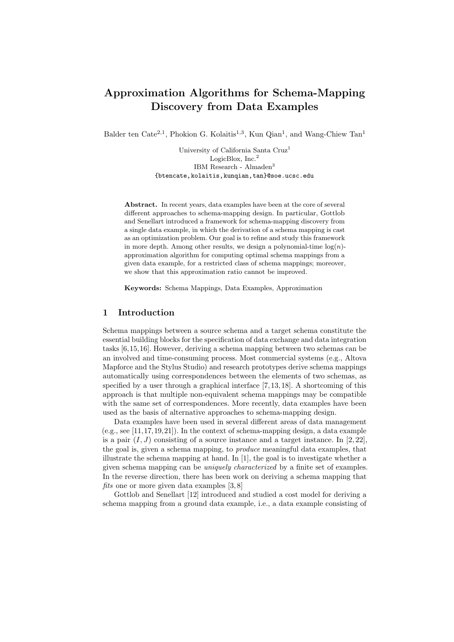# Approximation Algorithms for Schema-Mapping Discovery from Data Examples

Balder ten Cate<sup>2,1</sup>, Phokion G. Kolaitis<sup>1,3</sup>, Kun Qian<sup>1</sup>, and Wang-Chiew Tan<sup>1</sup>

University of California Santa Cruz<sup>1</sup> LogicBlox, Inc.<sup>2</sup> IBM Research - Almaden<sup>3</sup> {btencate,kolaitis,kunqian,tan}@soe.ucsc.edu

Abstract. In recent years, data examples have been at the core of several different approaches to schema-mapping design. In particular, Gottlob and Senellart introduced a framework for schema-mapping discovery from a single data example, in which the derivation of a schema mapping is cast as an optimization problem. Our goal is to refine and study this framework in more depth. Among other results, we design a polynomial-time  $log(n)$ approximation algorithm for computing optimal schema mappings from a given data example, for a restricted class of schema mappings; moreover, we show that this approximation ratio cannot be improved.

Keywords: Schema Mappings, Data Examples, Approximation

# 1 Introduction

Schema mappings between a source schema and a target schema constitute the essential building blocks for the specification of data exchange and data integration tasks [6,15,16]. However, deriving a schema mapping between two schemas can be an involved and time-consuming process. Most commercial systems (e.g., Altova Mapforce and the Stylus Studio) and research prototypes derive schema mappings automatically using correspondences between the elements of two schemas, as specified by a user through a graphical interface [7, 13, 18]. A shortcoming of this approach is that multiple non-equivalent schema mappings may be compatible with the same set of correspondences. More recently, data examples have been used as the basis of alternative approaches to schema-mapping design.

Data examples have been used in several different areas of data management  $(e.g., see [11, 17, 19, 21])$ . In the context of schema-mapping design, a data example is a pair  $(I, J)$  consisting of a source instance and a target instance. In [2, 22], the goal is, given a schema mapping, to produce meaningful data examples, that illustrate the schema mapping at hand. In [1], the goal is to investigate whether a given schema mapping can be uniquely characterized by a finite set of examples. In the reverse direction, there has been work on deriving a schema mapping that fits one or more given data examples  $[3, 8]$ 

Gottlob and Senellart [12] introduced and studied a cost model for deriving a schema mapping from a ground data example, i.e., a data example consisting of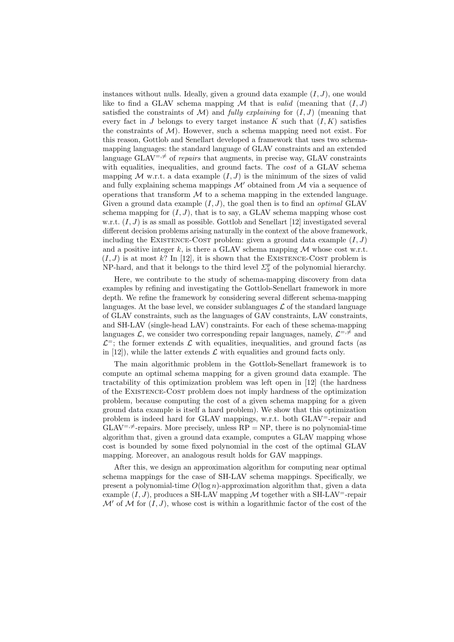instances without nulls. Ideally, given a ground data example  $(I, J)$ , one would like to find a GLAV schema mapping  $M$  that is *valid* (meaning that  $(I, J)$ satisfied the constraints of  $\mathcal{M}$ ) and *fully explaining* for  $(I, J)$  (meaning that every fact in J belongs to every target instance K such that  $(I, K)$  satisfies the constraints of  $\mathcal{M}$ ). However, such a schema mapping need not exist. For this reason, Gottlob and Senellart developed a framework that uses two schemamapping languages: the standard language of GLAV constraints and an extended language GLAV<sup>=, $\neq$ </sup> of repairs that augments, in precise way, GLAV constraints with equalities, inequalities, and ground facts. The *cost* of a GLAV schema mapping M w.r.t. a data example  $(I, J)$  is the minimum of the sizes of valid and fully explaining schema mappings  $\mathcal{M}'$  obtained from  $\mathcal M$  via a sequence of operations that transform  $\mathcal M$  to a schema mapping in the extended language. Given a ground data example  $(I, J)$ , the goal then is to find an *optimal* GLAV schema mapping for  $(I, J)$ , that is to say, a GLAV schema mapping whose cost w.r.t.  $(I, J)$  is as small as possible. Gottlob and Senellart [12] investigated several different decision problems arising naturally in the context of the above framework, including the EXISTENCE-COST problem: given a ground data example  $(I, J)$ and a positive integer  $k$ , is there a GLAV schema mapping  $M$  whose cost w.r.t.  $(I, J)$  is at most k? In [12], it is shown that the EXISTENCE-COST problem is NP-hard, and that it belongs to the third level  $\Sigma_3^p$  of the polynomial hierarchy.

Here, we contribute to the study of schema-mapping discovery from data examples by refining and investigating the Gottlob-Senellart framework in more depth. We refine the framework by considering several different schema-mapping languages. At the base level, we consider sublanguages  $\mathcal L$  of the standard language of GLAV constraints, such as the languages of GAV constraints, LAV constraints, and SH-LAV (single-head LAV) constraints. For each of these schema-mapping languages  $\mathcal{L}$ , we consider two corresponding repair languages, namely,  $\mathcal{L}^{=,\neq}$  and  $\mathcal{L}^=$ ; the former extends  $\mathcal L$  with equalities, inequalities, and ground facts (as in  $[12]$ , while the latter extends  $\mathcal L$  with equalities and ground facts only.

The main algorithmic problem in the Gottlob-Senellart framework is to compute an optimal schema mapping for a given ground data example. The tractability of this optimization problem was left open in [12] (the hardness of the Existence-Cost problem does not imply hardness of the optimization problem, because computing the cost of a given schema mapping for a given ground data example is itself a hard problem). We show that this optimization problem is indeed hard for GLAV mappings, w.r.t. both GLAV<sup>=</sup>-repair and  $GLAV^{=,\neq}$ -repairs. More precisely, unless  $RP = NP$ , there is no polynomial-time algorithm that, given a ground data example, computes a GLAV mapping whose cost is bounded by some fixed polynomial in the cost of the optimal GLAV mapping. Moreover, an analogous result holds for GAV mappings.

After this, we design an approximation algorithm for computing near optimal schema mappings for the case of SH-LAV schema mappings. Specifically, we present a polynomial-time  $O(\log n)$ -approximation algorithm that, given a data example  $(I, J)$ , produces a SH-LAV mapping M together with a SH-LAV<sup>-</sup>-repair  $\mathcal{M}'$  of  $\mathcal M$  for  $(I, J)$ , whose cost is within a logarithmic factor of the cost of the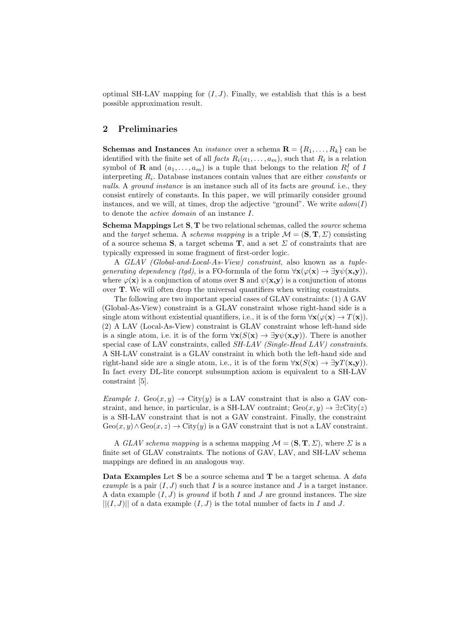optimal SH-LAV mapping for  $(I, J)$ . Finally, we establish that this is a best possible approximation result.

# 2 Preliminaries

**Schemas and Instances** An *instance* over a schema  $\mathbf{R} = \{R_1, \ldots, R_k\}$  can be identified with the finite set of all  $facts R_i(a_1, \ldots, a_m)$ , such that  $R_i$  is a relation symbol of **R** and  $(a_1, \ldots, a_m)$  is a tuple that belongs to the relation  $R_i^I$  of I interpreting  $R_i$ . Database instances contain values that are either *constants* or nulls. A ground instance is an instance such all of its facts are ground, i.e., they consist entirely of constants. In this paper, we will primarily consider ground instances, and we will, at times, drop the adjective "ground". We write  $adom(I)$ to denote the active domain of an instance I.

Schema Mappings Let S, T be two relational schemas, called the *source* schema and the target schema. A schema mapping is a triple  $\mathcal{M} = (\mathbf{S}, \mathbf{T}, \Sigma)$  consisting of a source schema S, a target schema T, and a set  $\Sigma$  of constraints that are typically expressed in some fragment of first-order logic.

A GLAV (Global-and-Local-As-View) constraint, also known as a tuplegenerating dependency (tgd), is a FO-formula of the form  $\forall x (\varphi(x) \rightarrow \exists y \psi(x,y))$ , where  $\varphi(\mathbf{x})$  is a conjunction of atoms over **S** and  $\psi(\mathbf{x}, \mathbf{y})$  is a conjunction of atoms over T. We will often drop the universal quantifiers when writing constraints.

The following are two important special cases of GLAV constraints: (1) A GAV (Global-As-View) constraint is a GLAV constraint whose right-hand side is a single atom without existential quantifiers, i.e., it is of the form  $\forall {\bf x}(\varphi({\bf x}) \to T({\bf x}))$ . (2) A LAV (Local-As-View) constraint is GLAV constraint whose left-hand side is a single atom, i.e. it is of the form  $\forall$ **x**( $S(\mathbf{x}) \rightarrow \exists$ **y** $\psi$ (**x**,**y**)). There is another special case of LAV constraints, called SH-LAV (Single-Head LAV) constraints. A SH-LAV constraint is a GLAV constraint in which both the left-hand side and right-hand side are a single atom, i.e., it is of the form  $\forall \mathbf{x}(S(\mathbf{x}) \to \exists \mathbf{y} T(\mathbf{x}, \mathbf{y}))$ . In fact every DL-lite concept subsumption axiom is equivalent to a SH-LAV constraint [5].

Example 1.  $Geo(x, y) \rightarrow City(y)$  is a LAV constraint that is also a GAV constraint, and hence, in particular, is a SH-LAV contraint; Geo $(x, y) \rightarrow \exists z \text{City}(z)$ is a SH-LAV constraint that is not a GAV constraint. Finally, the constraint  $Geo(x, y) \wedge Geo(x, z) \rightarrow City(y)$  is a GAV constraint that is not a LAV constraint.

A GLAV schema mapping is a schema mapping  $\mathcal{M} = (\mathbf{S}, \mathbf{T}, \Sigma)$ , where  $\Sigma$  is a finite set of GLAV constraints. The notions of GAV, LAV, and SH-LAV schema mappings are defined in an analogous way.

**Data Examples** Let S be a source schema and  $\mathbf{T}$  be a target schema. A data example is a pair  $(I, J)$  such that I is a source instance and J is a target instance. A data example  $(I, J)$  is ground if both I and J are ground instances. The size  $||(I, J)||$  of a data example  $(I, J)$  is the total number of facts in I and J.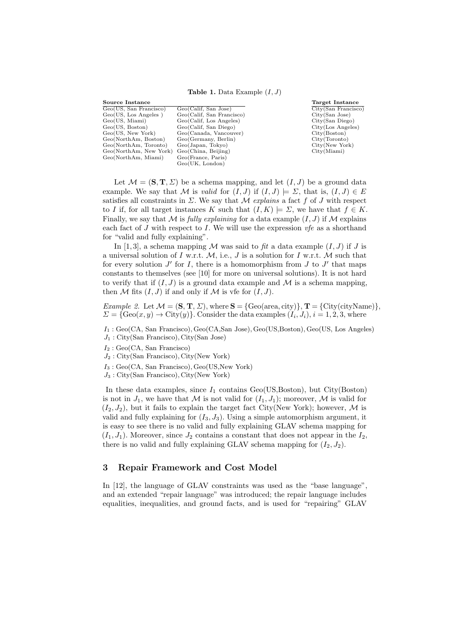#### **Table 1.** Data Example  $(I, J)$

Source Instance Geo(US, San Francisco) Geo(Calif, San Jose)  $Geo(US, Los Angeles)$ <br> $Geo(US, Miami)$ <br> $Geo(US, Boston)$ Geo(Calif, Los Angeles) Geo(US, Boston) Geo(Calif, San Diego)<br>Geo(US, New York) Geo(Canada, Vancouv Geo(Canada, Vancouver)<br>Geo(Germany, Berlin) Geo(NorthAm, Boston) Geo(Germany, Berl<br>Geo(NorthAm, Toronto) Geo(Japan, Tokyo) Geo(NorthAm, Toronto) Geo(Japan, Tokyo)<br>Geo(NorthAm, New York) Geo(China, Beijing) Geo(NorthAm, New York) Geo(China, Beijing)<br>Geo(NorthAm, Miami) Geo(France, Paris) Geo(NorthAm, Miami) Geo(UK, London)

Target Instance City(San Francisco) City(San Jose) City(San Diego) City(Los Angeles) City(Boston) City(Toronto) City(New York) City(Miami)

Let  $\mathcal{M} = (\mathbf{S}, \mathbf{T}, \Sigma)$  be a schema mapping, and let  $(I, J)$  be a ground data example. We say that M is valid for  $(I, J)$  if  $(I, J) \models \Sigma$ , that is,  $(I, J) \in E$ satisfies all constraints in  $\Sigma$ . We say that M explains a fact f of J with respect to I if, for all target instances K such that  $(I, K) \models \Sigma$ , we have that  $f \in K$ . Finally, we say that M is fully explaining for a data example  $(I, J)$  if M explains each fact of J with respect to I. We will use the expression  $vfe$  as a shorthand for "valid and fully explaining".

In [1,3], a schema mapping M was said to fit a data example  $(I, J)$  if J is a universal solution of I w.r.t.  $M$ , i.e., J is a solution for I w.r.t. M such that for every solution  $J'$  for I, there is a homomorphism from  $J$  to  $J'$  that maps constants to themselves (see [10] for more on universal solutions). It is not hard to verify that if  $(I, J)$  is a ground data example and M is a schema mapping, then M fits  $(I, J)$  if and only if M is vfe for  $(I, J)$ .

Example 2. Let  $\mathcal{M} = (\mathbf{S}, \mathbf{T}, \Sigma)$ , where  $\mathbf{S} = \{\text{Geo}(\text{area}, \text{city})\}$ ,  $\mathbf{T} = \{\text{City}(\text{cityName})\}$ ,  $\Sigma = \{ \text{Geo}(x, y) \rightarrow \text{City}(y) \}.$  Consider the data examples  $(I_i, J_i), i = 1, 2, 3$ , where

 $I_1$ : Geo(CA, San Francisco), Geo(CA, San Jose), Geo(US, Boston), Geo(US, Los Angeles)

- J<sup>1</sup> : City(San Francisco), City(San Jose)
- $I_2$ : Geo(CA, San Francisco)
- $J_2$ : City(San Francisco), City(New York)
- $I_3: \text{Geo(CA, San Francisco)}, \text{Geo(CS, New York)}$
- $J_3$ : City(San Francisco), City(New York)

In these data examples, since  $I_1$  contains Geo(US,Boston), but City(Boston) is not in  $J_1$ , we have that M is not valid for  $(I_1, J_1)$ ; moreover, M is valid for  $(I_2, J_2)$ , but it fails to explain the target fact City(New York); however, M is valid and fully explaining for  $(I_3, J_3)$ . Using a simple automorphism argument, it is easy to see there is no valid and fully explaining GLAV schema mapping for  $(I_1, J_1)$ . Moreover, since  $J_2$  contains a constant that does not appear in the  $I_2$ , there is no valid and fully explaining GLAV schema mapping for  $(I_2, J_2)$ .

### 3 Repair Framework and Cost Model

In [12], the language of GLAV constraints was used as the "base language", and an extended "repair language" was introduced; the repair language includes equalities, inequalities, and ground facts, and is used for "repairing" GLAV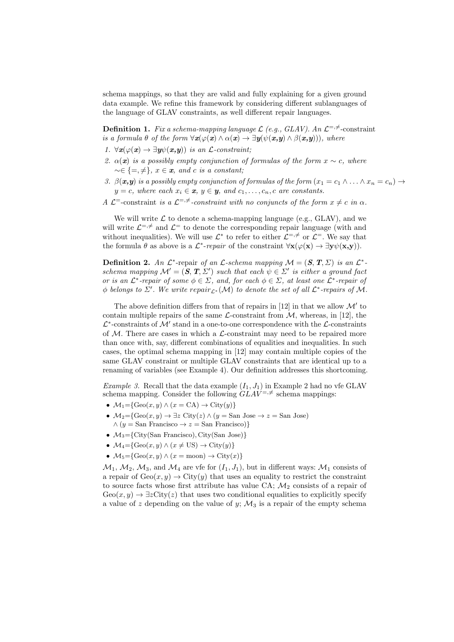schema mappings, so that they are valid and fully explaining for a given ground data example. We refine this framework by considering different sublanguages of the language of GLAV constraints, as well different repair languages.

**Definition 1.** Fix a schema-mapping language  $\mathcal{L}$  (e.g., GLAV). An  $\mathcal{L}^{=,\neq}$ -constraint is a formula  $\theta$  of the form  $\forall x(\varphi(x) \land \alpha(x) \to \exists y(\psi(x,y) \land \beta(x,y)))$ , where

- 1.  $\forall x(\varphi(x) \rightarrow \exists y \psi(x,y))$  is an *L*-constraint;
- 2.  $\alpha(x)$  is a possibly empty conjunction of formulas of the form  $x \sim c$ , where  $\sim \in \{ =, \neq \}, x \in \mathbf{x}, \text{ and } c \text{ is a constant};$
- 3.  $\beta(x,y)$  is a possibly empty conjunction of formulas of the form  $(x_1 = c_1 \wedge \ldots \wedge x_n = c_n) \rightarrow$  $y = c$ , where each  $x_i \in \mathbf{x}, y \in \mathbf{y},$  and  $c_1, \ldots, c_n, c$  are constants.
- A  $\mathcal{L}^=$ -constraint is a  $\mathcal{L}^{=,\neq}$ -constraint with no conjuncts of the form  $x \neq c$  in  $\alpha$ .

We will write  $\mathcal L$  to denote a schema-mapping language (e.g., GLAV), and we will write  $\mathcal{L}^{\pm, \neq}$  and  $\mathcal{L}^{\pm}$  to denote the corresponding repair language (with and without inequalities). We will use  $\mathcal{L}^*$  to refer to either  $\mathcal{L}^{=,\neq}$  or  $\mathcal{L}^=$ . We say that the formula  $\theta$  as above is a  $\mathcal{L}^*$ -repair of the constraint  $\forall \mathbf{x} (\varphi(\mathbf{x}) \to \exists \mathbf{y} \psi(\mathbf{x}, \mathbf{y}))$ .

**Definition 2.** An  $\mathcal{L}^*$ -repair of an  $\mathcal{L}$ -schema mapping  $\mathcal{M} = (\mathcal{S}, \mathcal{T}, \Sigma)$  is an  $\mathcal{L}^*$ schema mapping  $\mathcal{M}' = (\mathbf{S}, \mathbf{T}, \Sigma')$  such that each  $\psi \in \Sigma'$  is either a ground fact or is an  $\mathcal{L}^*$ -repair of some  $\phi \in \Sigma$ , and, for each  $\phi \in \Sigma$ , at least one  $\mathcal{L}^*$ -repair of  $\phi$  belongs to  $\Sigma'$ . We write  $repair_{\mathcal{L}^*}(\mathcal{M})$  to denote the set of all  $\mathcal{L}^*$ -repairs of M.

The above definition differs from that of repairs in [12] in that we allow  $\mathcal{M}'$  to contain multiple repairs of the same  $\mathcal{L}$ -constraint from  $\mathcal{M}$ , whereas, in [12], the  $\mathcal{L}^*$ -constraints of  $\mathcal{M}'$  stand in a one-to-one correspondence with the  $\mathcal{L}$ -constraints of  $M$ . There are cases in which a  $\mathcal{L}$ -constraint may need to be repaired more than once with, say, different combinations of equalities and inequalities. In such cases, the optimal schema mapping in [12] may contain multiple copies of the same GLAV constraint or multiple GLAV constraints that are identical up to a renaming of variables (see Example 4). Our definition addresses this shortcoming.

*Example 3.* Recall that the data example  $(I_1, J_1)$  in Example 2 had no vfe GLAV schema mapping. Consider the following  $GLAV^{=,\neq}$  schema mappings:

- $\mathcal{M}_1 = \{ \text{Geo}(x, y) \land (x = \text{CA}) \rightarrow \text{City}(y) \}$
- $M_2 = \{ \text{Geo}(x, y) \to \exists z \text{City}(z) \land (y = \text{San Jose} \to z = \text{San Jose}) \}$  $\wedge$  (y = San Francisco  $\rightarrow$  z = San Francisco)}
- $M_3 = \{City(San Francisco), City(San Jose)\}$
- $\mathcal{M}_4 = \{ \text{Geo}(x, y) \land (x \neq \text{US}) \rightarrow \text{City}(y) \}$
- $\mathcal{M}_5 = \{ \text{Geo}(x, y) \land (x = \text{moon}) \rightarrow \text{City}(x) \}$

 $\mathcal{M}_1, \mathcal{M}_2, \mathcal{M}_3$ , and  $\mathcal{M}_4$  are vfe for  $(I_1, J_1)$ , but in different ways:  $\mathcal{M}_1$  consists of a repair of  $Geo(x,y) \to City(y)$  that uses an equality to restrict the constraint to source facts whose first attribute has value CA;  $\mathcal{M}_2$  consists of a repair of  $Geo(x,y) \rightarrow \exists z \text{City}(z)$  that uses two conditional equalities to explicitly specify a value of z depending on the value of y;  $M_3$  is a repair of the empty schema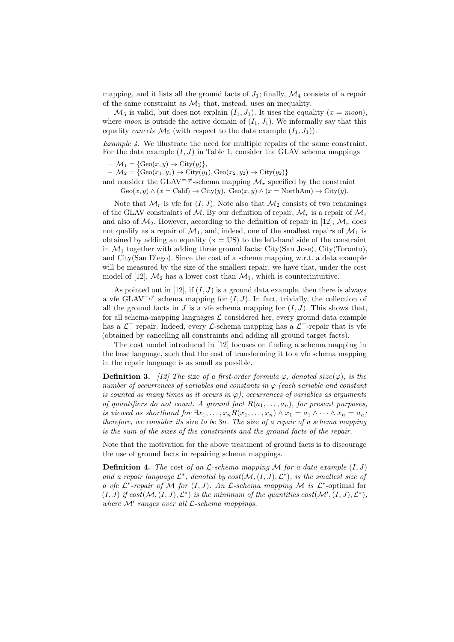mapping, and it lists all the ground facts of  $J_1$ ; finally,  $\mathcal{M}_4$  consists of a repair of the same constraint as  $\mathcal{M}_1$  that, instead, uses an inequality.

 $\mathcal{M}_5$  is valid, but does not explain  $(I_1, J_1)$ . It uses the equality  $(x = moon)$ , where moon is outside the active domain of  $(I_1, J_1)$ . We informally say that this equality cancels  $\mathcal{M}_5$  (with respect to the data example  $(I_1, J_1)$ ).

*Example 4.* We illustrate the need for multiple repairs of the same constraint. For the data example  $(I, J)$  in Table 1, consider the GLAV schema mappings

 $- \mathcal{M}_1 = \{ \text{Geo}(x, y) \rightarrow \text{City}(y) \},\$ 

 $- \mathcal{M}_2 = \{ \text{Geo}(x_1, y_1) \rightarrow \text{City}(y_1), \text{Geo}(x_2, y_2) \rightarrow \text{City}(y_2) \}$ 

and consider the GLAV<sup>=, $\neq$ </sup>-schema mapping  $\mathcal{M}_r$  specified by the constraint  $Geo(x, y) \wedge (x = \text{Calif}) \rightarrow \text{City}(y)$ ,  $Geo(x, y) \wedge (x = \text{NorthAm}) \rightarrow \text{City}(y)$ .

Note that  $\mathcal{M}_r$  is vfe for  $(I, J)$ . Note also that  $\mathcal{M}_2$  consists of two renamings of the GLAV constraints of M. By our definition of repair,  $\mathcal{M}_r$  is a repair of  $\mathcal{M}_1$ and also of  $\mathcal{M}_2$ . However, according to the definition of repair in [12],  $\mathcal{M}_r$  does not qualify as a repair of  $\mathcal{M}_1$ , and, indeed, one of the smallest repairs of  $\mathcal{M}_1$  is obtained by adding an equality  $(x = US)$  to the left-hand side of the constraint in  $\mathcal{M}_1$  together with adding three ground facts: City(San Jose), City(Toronto), and City(San Diego). Since the cost of a schema mapping w.r.t. a data example will be measured by the size of the smallest repair, we have that, under the cost model of [12],  $\mathcal{M}_2$  has a lower cost than  $\mathcal{M}_1$ , which is counterintuitive.

As pointed out in [12], if  $(I, J)$  is a ground data example, then there is always a vfe GLAV<sup>=, $\neq$ </sup> schema mapping for  $(I, J)$ . In fact, trivially, the collection of all the ground facts in J is a vfe schema mapping for  $(I, J)$ . This shows that, for all schema-mapping languages  $\mathcal L$  considered her, every ground data example has a  $\mathcal{L}^=$  repair. Indeed, every  $\mathcal{L}$ -schema mapping has a  $\mathcal{L}^=$ -repair that is vfe (obtained by cancelling all constraints and adding all ground target facts).

The cost model introduced in [12] focuses on finding a schema mapping in the base language, such that the cost of transforming it to a vfe schema mapping in the repair language is as small as possible.

**Definition 3.** [12] The size of a first-order formula  $\varphi$ , denoted size( $\varphi$ ), is the number of occurrences of variables and constants in  $\varphi$  (each variable and constant is counted as many times as it occurs in  $\varphi$ ); occurrences of variables as arguments of quantifiers do not count. A ground fact  $R(a_1, \ldots, a_n)$ , for present purposes, is viewed as shorthand for  $\exists x_1, \ldots, x_n R(x_1, \ldots, x_n) \wedge x_1 = a_1 \wedge \cdots \wedge x_n = a_n;$ therefore, we consider its size to be 3n. The size of a repair of a schema mapping is the sum of the sizes of the constraints and the ground facts of the repair.

Note that the motivation for the above treatment of ground facts is to discourage the use of ground facts in repairing schema mappings.

**Definition 4.** The cost of an  $\mathcal{L}\text{-}schema$  mapping  $\mathcal{M}$  for a data example  $(I, J)$ and a repair language  $\mathcal{L}^*$ , denoted by  $cost(\mathcal{M}, (I, J), \mathcal{L}^*)$ , is the smallest size of a vfe  $\mathcal{L}^*$ -repair of M for  $(I, J)$ . An  $\mathcal{L}$ -schema mapping M is  $\mathcal{L}^*$ -optimal for  $(I, J)$  if  $cost(M, (I, J), \mathcal{L}^*)$  is the minimum of the quantities  $cost(M', (I, J), \mathcal{L}^*)$ , where  $M'$  ranges over all  $\mathcal{L}\text{-}s$ chema mappings.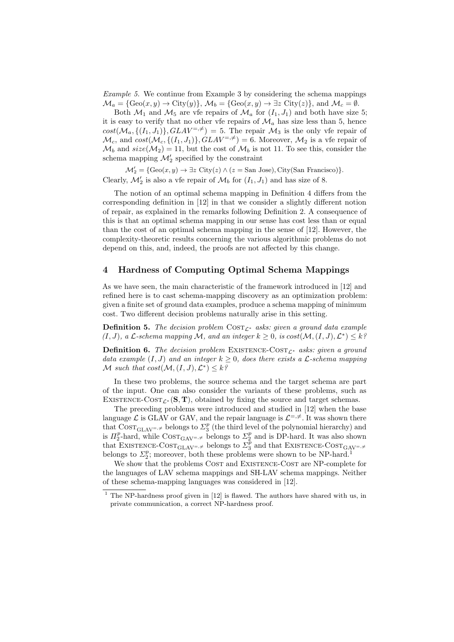Example 5. We continue from Example 3 by considering the schema mappings  $\mathcal{M}_a = \{ \text{Geo}(x, y) \to \text{City}(y) \}, \, \mathcal{M}_b = \{ \text{Geo}(x, y) \to \exists z \text{ City}(z) \}, \, \text{and} \, \, \mathcal{M}_c = \emptyset.$ 

Both  $\mathcal{M}_1$  and  $\mathcal{M}_5$  are vfe repairs of  $\mathcal{M}_a$  for  $(I_1, J_1)$  and both have size 5; it is easy to verify that no other vfe repairs of  $\mathcal{M}_a$  has size less than 5, hence  $cost(\mathcal{M}_a, \{(I_1, J_1)\}, GLAV^{\pm, \neq}) = 5$ . The repair  $\mathcal{M}_3$  is the only vfe repair of  $\mathcal{M}_c$ , and  $cost(\mathcal{M}_c, \{(I_1, J_1)\}, GLAV^{\pm, \neq}) = 6$ . Moreover,  $\mathcal{M}_2$  is a vfe repair of  $\mathcal{M}_b$  and  $size(\mathcal{M}_2) = 11$ , but the cost of  $\mathcal{M}_b$  is not 11. To see this, consider the schema mapping  $\mathcal{M}'_2$  specified by the constraint

 $\mathcal{M}'_2 = \{\text{Geo}(x, y) \to \exists z \text{ City}(z) \land (z = \text{San Jose}), \text{City}(\text{San Francisco})\}.$ Clearly,  $\mathcal{M}'_2$  is also a vfe repair of  $\mathcal{M}_b$  for  $(I_1, J_1)$  and has size of 8.

The notion of an optimal schema mapping in Definition 4 differs from the corresponding definition in [12] in that we consider a slightly different notion of repair, as explained in the remarks following Definition 2. A consequence of this is that an optimal schema mapping in our sense has cost less than or equal than the cost of an optimal schema mapping in the sense of [12]. However, the complexity-theoretic results concerning the various algorithmic problems do not depend on this, and, indeed, the proofs are not affected by this change.

### 4 Hardness of Computing Optimal Schema Mappings

As we have seen, the main characteristic of the framework introduced in [12] and refined here is to cast schema-mapping discovery as an optimization problem: given a finite set of ground data examples, produce a schema mapping of minimum cost. Two different decision problems naturally arise in this setting.

**Definition 5.** The decision problem  $\text{COST}_{\mathcal{L}^*}$  asks: given a ground data example  $(I, J)$ , a  $\mathcal L$ -schema mapping M, and an integer  $k \geq 0$ , is  $cost(\mathcal{M}, (I, J), \mathcal{L}^*) \leq k^2$ 

**Definition 6.** The decision problem EXISTENCE-COST<sub> $\mathcal{L}^*$ </sub> asks: given a ground data example  $(I, J)$  and an integer  $k \geq 0$ , does there exists a  $\mathcal{L}$ -schema mapping M such that  $cost(M, (I, J), \mathcal{L}^*) \leq k$ ?

In these two problems, the source schema and the target schema are part of the input. One can also consider the variants of these problems, such as EXISTENCE-COST<sub> $\mathcal{L}^*$ </sub> (S, T), obtained by fixing the source and target schemas.

The preceding problems were introduced and studied in [12] when the base language  $\mathcal L$  is GLAV or GAV, and the repair language is  $\mathcal L^{=,\neq}.$  It was shown there that  $\text{COST}_{\text{GLAV}} \neq \text{ belongs to } \Sigma_3^p$  (the third level of the polynomial hierarchy) and is  $\Pi_2^p$ -hard, while  $\text{COST}_{\text{GAV}} = \neq \text{belongs to } \Sigma_2^p$  and is DP-hard. It was also shown that EXISTENCE-COST<sub>GLAV</sub>=, $\neq$  belongs to  $\sum_{i=1}^{p}$  and that EXISTENCE-COST<sub>GAV</sub>=, $\neq$ belongs to  $\Sigma_2^p$ ; moreover, both these problems were shown to be NP-hard.<sup>1</sup>

We show that the problems COST and EXISTENCE-COST are NP-complete for the languages of LAV schema mappings and SH-LAV schema mappings. Neither of these schema-mapping languages was considered in [12].

 $1$  The NP-hardness proof given in [12] is flawed. The authors have shared with us, in private communication, a correct NP-hardness proof.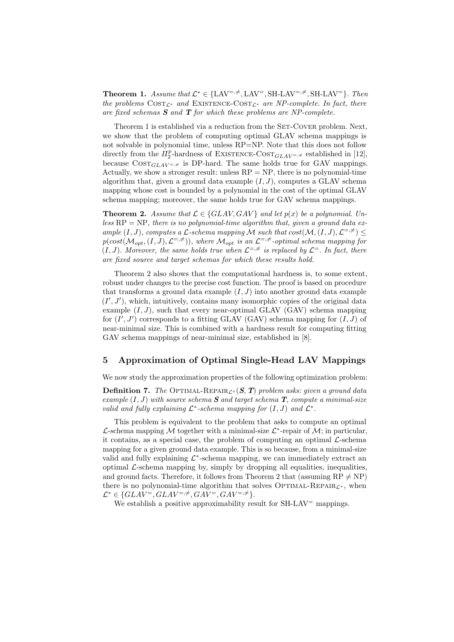**Theorem 1.** Assume that  $\mathcal{L}^* \in \{LAV^{=,\neq}, LAV^{=}, SH-LAV^{=,\neq}, SH-LAV^{=}\}$ . Then the problems  $\text{COST}_{\mathcal{L}^*}$  and EXISTENCE- $\text{COST}_{\mathcal{L}^*}$  are NP-complete. In fact, there are fixed schemas  $S$  and  $T$  for which these problems are NP-complete.

Theorem 1 is established via a reduction from the SET-COVER problem. Next, we show that the problem of computing optimal GLAV schema mappings is not solvable in polynomial time, unless RP=NP. Note that this does not follow directly from the  $\Pi_2^p$ -hardness of EXISTENCE-COST<sub>GLAV</sub><sub>=,≠</sub> established in [12], because  $\text{COST}_{GLAV = \neq}$  is DP-hard. The same holds true for GAV mappings. Actually, we show a stronger result: unless  $RP = NP$ , there is no polynomial-time algorithm that, given a ground data example  $(I, J)$ , computes a GLAV schema mapping whose cost is bounded by a polynomial in the cost of the optimal GLAV schema mapping; moreover, the same holds true for GAV schema mappings.

**Theorem 2.** Assume that  $\mathcal{L} \in \{GLAV, GAV\}$  and let  $p(x)$  be a polynomial. Unless  $RP = NP$ , there is no polynomial-time algorithm that, given a ground data example  $(I, J)$ , computes a L-schema mapping M such that  $cost(M, (I, J), \mathcal{L}^{=,\neq}) \leq$  $p(cost(M_{opt}, (I, J), \mathcal{L}^{=,\neq})),$  where  $\mathcal{M}_{opt}$  is an  $\mathcal{L}^{=,\neq}$ -optimal schema mapping for  $(I, J)$ . Moreover, the same holds true when  $\mathcal{L}^{=,\neq}$  is replaced by  $\mathcal{L}^{=}$ . In fact, there are fixed source and target schemas for which these results hold.

Theorem 2 also shows that the computational hardness is, to some extent, robust under changes to the precise cost function. The proof is based on procedure that transforms a ground data example  $(I, J)$  into another ground data example  $(I', J')$ , which, intuitively, contains many isomorphic copies of the original data example  $(I, J)$ , such that every near-optimal GLAV (GAV) schema mapping for  $(I', J')$  corresponds to a fitting GLAV (GAV) schema mapping for  $(I, J)$  of near-minimal size. This is combined with a hardness result for computing fitting GAV schema mappings of near-minimal size, established in [8].

# 5 Approximation of Optimal Single-Head LAV Mappings

We now study the approximation properties of the following optimization problem:

**Definition 7.** The Optimal-REPAIR<sub>C<sup>\*</sub></sup> (S, T) problem asks: given a ground data</sub> example  $(I, J)$  with source schema **S** and target schema **T**, compute a minimal-size valid and fully explaining  $\mathcal{L}^*$ -schema mapping for  $(I, J)$  and  $\mathcal{L}^*$ .

This problem is equivalent to the problem that asks to compute an optimal  $\mathcal{L}$ -schema mapping  $\mathcal{M}$  together with a minimal-size  $\mathcal{L}^*$ -repair of  $\mathcal{M}$ ; in particular, it contains, as a special case, the problem of computing an optimal  $\mathcal{L}$ -schema mapping for a given ground data example. This is so because, from a minimal-size valid and fully explaining  $\mathcal{L}^*$ -schema mapping, we can immediately extract an optimal  $\mathcal{L}$ -schema mapping by, simply by dropping all equalities, inequalities, and ground facts. Therefore, it follows from Theorem 2 that (assuming  $RP \neq NP$ ) there is no polynomial-time algorithm that solves OPTIMAL-REPAIR $\mathcal{L}^*$ , when  $\mathcal{L}^* \in \{GLAV^=, GLAV^{=,\neq}, GAV^{=}, GAV^{=,\neq}\}.$ 

We establish a positive approximability result for  $SH-LAV^=$  mappings.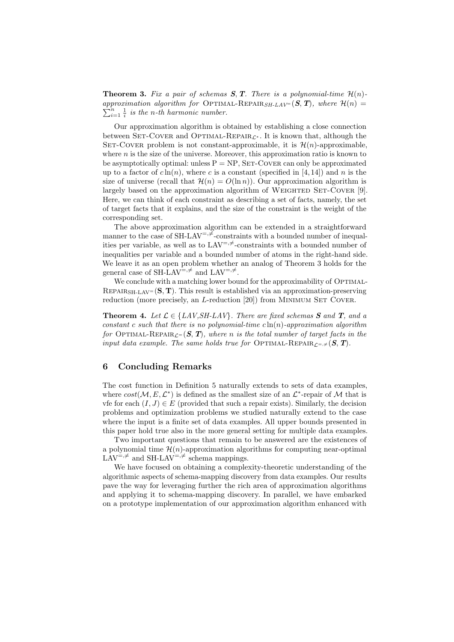**Theorem 3.** Fix a pair of schemas  $S$ ,  $T$ . There is a polynomial-time  $\mathcal{H}(n)$ approximation algorithm for OPTIMAL-REPAIR<sub>SH-LAV</sub>=  $(S, T)$ , where  $\mathcal{H}(n) =$  $\sum_{i=1}^{n} \frac{1}{i}$  is the n-th harmonic number.

Our approximation algorithm is obtained by establishing a close connection between SET-COVER and OPTIMAL-REPAIR<sub> $\mathcal{L}^*$ </sub>. It is known that, although the SET-COVER problem is not constant-approximable, it is  $\mathcal{H}(n)$ -approximable, where  $n$  is the size of the universe. Moreover, this approximation ratio is known to be asymptotically optimal: unless  $P = NP$ , SET-COVER can only be approximated up to a factor of  $c \ln(n)$ , where c is a constant (specified in [4, 14]) and n is the size of universe (recall that  $\mathcal{H}(n) = O(\ln n)$ ). Our approximation algorithm is largely based on the approximation algorithm of WEIGHTED SET-COVER  $[9]$ . Here, we can think of each constraint as describing a set of facts, namely, the set of target facts that it explains, and the size of the constraint is the weight of the corresponding set.

The above approximation algorithm can be extended in a straightforward manner to the case of SH-LAV<sup> $=$ , $\neq$ </sup>-constraints with a bounded number of inequalities per variable, as well as to  $LAV^{=,\neq}$ -constraints with a bounded number of inequalities per variable and a bounded number of atoms in the right-hand side. We leave it as an open problem whether an analog of Theorem 3 holds for the general case of SH-LAV<sup>=, $\neq$ </sup> and LAV<sup>=, $\neq$ </sup>.

We conclude with a matching lower bound for the approximability of OPTIMAL-REPAIR<sub>SH-LAV</sub>=  $(S, T)$ . This result is established via an approximation-preserving reduction (more precisely, an  $L$ -reduction [20]) from MINIMUM SET COVER.

**Theorem 4.** Let  $\mathcal{L} \in \{LAV, SH-LAV\}$ . There are fixed schemas **S** and **T**, and a constant c such that there is no polynomial-time  $c \ln(n)$ -approximation algorithm for OPTIMAL-REPAIR<sub>C</sub>=  $(S, T)$ , where n is the total number of target facts in the input data example. The same holds true for OPTIMAL-REPAIR<sub>C= $\neq$ </sub>(S, T).

# 6 Concluding Remarks

The cost function in Definition 5 naturally extends to sets of data examples, where  $cost(\mathcal{M}, E, \mathcal{L}^*)$  is defined as the smallest size of an  $\mathcal{L}^*$ -repair of  $\mathcal{M}$  that is vfe for each  $(I, J) \in E$  (provided that such a repair exists). Similarly, the decision problems and optimization problems we studied naturally extend to the case where the input is a finite set of data examples. All upper bounds presented in this paper hold true also in the more general setting for multiple data examples.

Two important questions that remain to be answered are the existences of a polynomial time  $\mathcal{H}(n)$ -approximation algorithms for computing near-optimal  $LAV^{=,\neq}$  and SH-LAV<sup> $=,\neq$ </sup> schema mappings.

We have focused on obtaining a complexity-theoretic understanding of the algorithmic aspects of schema-mapping discovery from data examples. Our results pave the way for leveraging further the rich area of approximation algorithms and applying it to schema-mapping discovery. In parallel, we have embarked on a prototype implementation of our approximation algorithm enhanced with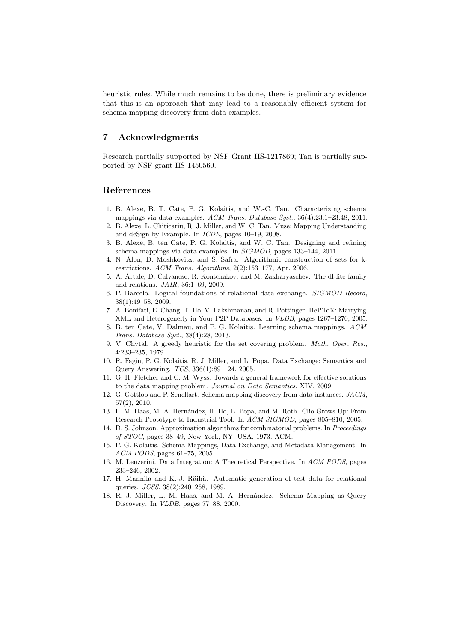heuristic rules. While much remains to be done, there is preliminary evidence that this is an approach that may lead to a reasonably efficient system for schema-mapping discovery from data examples.

# 7 Acknowledgments

Research partially supported by NSF Grant IIS-1217869; Tan is partially supported by NSF grant IIS-1450560.

#### References

- 1. B. Alexe, B. T. Cate, P. G. Kolaitis, and W.-C. Tan. Characterizing schema mappings via data examples. ACM Trans. Database Syst., 36(4):23:1–23:48, 2011.
- 2. B. Alexe, L. Chiticariu, R. J. Miller, and W. C. Tan. Muse: Mapping Understanding and deSign by Example. In ICDE, pages 10–19, 2008.
- 3. B. Alexe, B. ten Cate, P. G. Kolaitis, and W. C. Tan. Designing and refining schema mappings via data examples. In SIGMOD, pages 133–144, 2011.
- 4. N. Alon, D. Moshkovitz, and S. Safra. Algorithmic construction of sets for krestrictions. ACM Trans. Algorithms, 2(2):153–177, Apr. 2006.
- 5. A. Artale, D. Calvanese, R. Kontchakov, and M. Zakharyaschev. The dl-lite family and relations. JAIR, 36:1–69, 2009.
- 6. P. Barceló. Logical foundations of relational data exchange. SIGMOD Record, 38(1):49–58, 2009.
- 7. A. Bonifati, E. Chang, T. Ho, V. Lakshmanan, and R. Pottinger. HePToX: Marrying XML and Heterogeneity in Your P2P Databases. In VLDB, pages 1267–1270, 2005.
- 8. B. ten Cate, V. Dalmau, and P. G. Kolaitis. Learning schema mappings. ACM Trans. Database Syst., 38(4):28, 2013.
- 9. V. Chvtal. A greedy heuristic for the set covering problem. Math. Oper. Res., 4:233–235, 1979.
- 10. R. Fagin, P. G. Kolaitis, R. J. Miller, and L. Popa. Data Exchange: Semantics and Query Answering. TCS, 336(1):89–124, 2005.
- 11. G. H. Fletcher and C. M. Wyss. Towards a general framework for effective solutions to the data mapping problem. Journal on Data Semantics, XIV, 2009.
- 12. G. Gottlob and P. Senellart. Schema mapping discovery from data instances. JACM, 57(2), 2010.
- 13. L. M. Haas, M. A. Hernández, H. Ho, L. Popa, and M. Roth. Clio Grows Up: From Research Prototype to Industrial Tool. In ACM SIGMOD, pages 805–810, 2005.
- 14. D. S. Johnson. Approximation algorithms for combinatorial problems. In Proceedings of STOC, pages 38–49, New York, NY, USA, 1973. ACM.
- 15. P. G. Kolaitis. Schema Mappings, Data Exchange, and Metadata Management. In ACM PODS, pages 61–75, 2005.
- 16. M. Lenzerini. Data Integration: A Theoretical Perspective. In ACM PODS, pages 233–246, 2002.
- 17. H. Mannila and K.-J. Räihä. Automatic generation of test data for relational queries. JCSS, 38(2):240–258, 1989.
- 18. R. J. Miller, L. M. Haas, and M. A. Hernández. Schema Mapping as Query Discovery. In VLDB, pages 77–88, 2000.